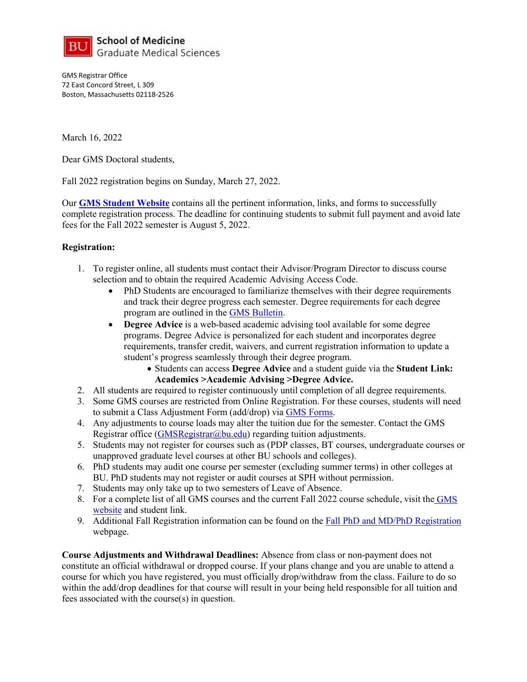

GMS Registrar Office 72 East Concord Street, L 309 Boston, Massachusetts 02118-2526

March 16, 2022

Dear GMS Doctoral students,

Fall 2022 registration begins on Sunday, March 27, 2022.

Our **[GMS Student Website](https://www.bumc.bu.edu/gms/students/)** contains all the pertinent information, links, and forms to successfully complete registration process. The deadline for continuing students to submit full payment and avoid late fees for the Fall 2022 semester is August 5, 2022.

## **Registration:**

- 1. To register online, all students must contact their Advisor/Program Director to discuss course selection and to obtain the required Academic Advising Access Code.
	- PhD Students are encouraged to familiarize themselves with their degree requirements and track their degree progress each semester. Degree requirements for each degree program are outlined in the [GMS Bulletin.](http://www.bu.edu/academics/gms/)
	- **Degree Advice** is a web-based academic advising tool available for some degree programs. Degree Advice is personalized for each student and incorporates degree requirements, transfer credit, waivers, and current registration information to update a student's progress seamlessly through their degree program.
		- Students can access **Degree Advice** and a student guide via the **Student Link: Academics >Academic Advising >Degree Advice.**
- 2. All students are required to register continuously until completion of all degree requirements.
- 3. Some GMS courses are restricted from Online Registration. For these courses, students will need to submit a Class Adjustment Form (add/drop) via [GMS Forms.](https://www.bumc.bu.edu/gms/students/student-forms/)
- 4. Any adjustments to course loads may alter the tuition due for the semester. Contact the GMS Registrar office [\(GMSRegistrar@bu.edu\)](mailto:GMSRegistrar@bu.edu) regarding tuition adjustments.
- 5. Students may not register for courses such as (PDP classes, BT courses, undergraduate courses or unapproved graduate level courses at other BU schools and colleges).
- 6. PhD students may audit one course per semester (excluding summer terms) in other colleges at BU. PhD students may not register or audit courses at SPH without permission.
- 7. Students may only take up to two semesters of Leave of Absence.
- 8. For a complete list of all GMS courses and the current Fall 2022 course schedule, visit the [GMS](https://www.bumc.bu.edu/gms/students/registration/gms-course-offerings/)  [website](https://www.bumc.bu.edu/gms/students/registration/gms-course-offerings/) and student link.
- 9. Additional Fall Registration information can be found on the [Fall PhD and MD/PhD Registration](https://www.bumc.bu.edu/gms/students/registration/fall-phd-and-mdphd/) webpage.

**Course Adjustments and Withdrawal Deadlines:** Absence from class or non-payment does not constitute an official withdrawal or dropped course. If your plans change and you are unable to attend a course for which you have registered, you must officially drop/withdraw from the class. Failure to do so within the add/drop deadlines for that course will result in your being held responsible for all tuition and fees associated with the course(s) in question.